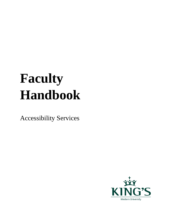# **Faculty Handbook**

Accessibility Services

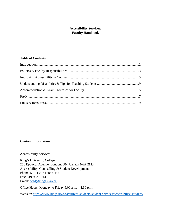### **Accessibility Services: Faculty Handbook**

#### **Table of Contents**

#### **Contact Information:**

#### **Accessibility Services**

King's University College 266 Epworth Avenue, London, ON, Canada N6A 2M3 Accessibility, Counselling & Student Development Phone: 519-433-3491ext 4321 Fax: 519-963-1013 Email: [acsd@kings.uwo.ca](mailto:acsd@kings.uwo.ca)

Office Hours: Monday to Friday 9:00 a.m. – 4:30 p.m.

Website:<https://www.kings.uwo.ca/current-students/student-services/accessibility-services/>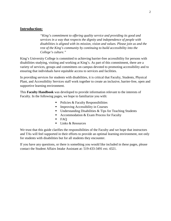## **Introduction:**

*"King's commitment to offering quality service and providing its good and services in a way that respects the dignity and independence of people with disabilities is aligned with its mission, vision and values. Please join us and the rest of the King's community by continuing to build accessibility into the College's culture."*

King's University College is committed to achieving barrier-free accessibility for persons with disabilities studying, visiting and working at King's. As part of this commitment, there are a variety of services, groups and committees on campus devoted to promoting accessibility and to ensuring that individuals have equitable access to services and facilities.

In providing services for students with disabilities, it is critical that Faculty, Students, Physical Plant, and Accessibility Services staff work together to create an inclusive, barrier-free, open and supportive learning environment.

This **Faculty Handbook** was developed to provide information relevant to the interests of Faculty. In the following pages, we hope to familiarize you with:

- Policies & Faculty Responsibilities
- **Improving Accessibility in Courses**
- $\blacksquare$  Understanding Disabilities & Tips for Teaching Students
- Accommodation & Exam Process for Faculty
- $FAO$
- $\blacksquare$  Links & Resources

We trust that this guide clarifies the responsibilities of the Faculty and we hope that instructors and TAs will feel supported in their efforts to provide an optimal learning environment, not only for students with disabilities but for all students they encounter.

If you have any questions, or there is something you would like included in these pages, please contact the Student Affairs Intake Assistant at: 519-433-3491 ext. 4321.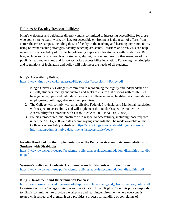# **Policies & Faculty Responsibilities:**

King's welcomes and celebrates diversity and is committed to increasing accessibility for those who come here to learn, work, or visit. An accessible environment is the result of efforts from across the entire campus, including those of faculty in the teaching and learning environment. By using relevant teaching strategies, faculty, teaching assistants, librarians and archivists can help increase the accessibility of the teaching/learning experience for students with disabilities. By law, each person who interacts with students, alumni, visitors, retirees or other members of the public is required to know and follow Ontario's accessibility legislation. Following the principles and regulations of legislation and policy will help meet the needs of all students.

#### **King's Accessibility Policy:**

#### <https://www.kings.uwo.ca/kings/assets/File/policies/Accessibility-Policy.pdf>

- 1. King's University College is committed to recognizing the dignity and independence of all staff, students, faculty and visitors and seeks to ensure that persons with disabilities have genuine, open and unhindered access to College services, facilities, accommodation, employment, buildings, structures and premises.
- 2. The College will comply with all applicable Federal, Provincial and Municipal legislation with respect to accessibility and will implement the standards specified under the Accessibility for Ontarians with Disabilities Act, 2005 ("AODA, 2005").
- 3. Policies, procedures, and practices with respect to accessibility, including those required under the AODA, 2005 and its accompanying standards shall be made available on the College's accessibility website at: [https://www.kings.uwo.ca/about-kings/facts-and](https://www.kings.uwo.ca/about-kings/facts-and-information/administrative-departments/hr/accessibility/aoda/)[information/administrative-departments/hr/accessibility/aoda/](https://www.kings.uwo.ca/about-kings/facts-and-information/administrative-departments/hr/accessibility/aoda/)

#### **Faculty Handbook on the Implementation of the Policy on Academic Accommodations for Students with Disabilities:**

[https://www.uwo.ca/univsec/pdf/academic\\_policies/appeals/accommodation\\_disabilities\\_handbo](https://www.uwo.ca/univsec/pdf/academic_policies/appeals/accommodation_disabilities_handbook.pdf) [ok.pdf](https://www.uwo.ca/univsec/pdf/academic_policies/appeals/accommodation_disabilities_handbook.pdf)

#### **Western's Policy on Academic Accommodation for Students with Disabilities:**

[https://www.uwo.ca/univsec/pdf/academic\\_policies/appeals/accommodation\\_disabilities.pdf](https://www.uwo.ca/univsec/pdf/academic_policies/appeals/accommodation_disabilities.pdf)

#### **King's Harassment and Discrimination Policies:**

[https://www.kings.uwo.ca/kings/assets/File/policies/Harassment\\_and\\_Discrimination\\_Policy.pdf](https://www.kings.uwo.ca/kings/assets/File/policies/Harassment_and_Discrimination_Policy.pdf)

Consistent with the College's mission and the Ontario Human Rights Code, this policy responds to King's commitment to provide a workplace and learning environment where everyone is treated with respect and dignity. It also provides a process for handling of complaints of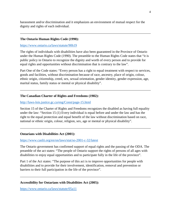harassment and/or discrimination and it emphasizes an environment of mutual respect for the dignity and rights of each individual.

#### **The Ontario Human Rights Code (1990):**

<https://www.ontario.ca/laws/statute/90h19>

The rights of individuals with disabilities have also been guaranteed in the Province of Ontario under the Human Rights Code (1990). The preamble to the Human Rights Code states that "it is public policy in Ontario to recognize the dignity and worth of every person and to provide for equal rights and opportunities without discrimination that is contrary to the law".

Part One of the Code states: "Every person has a right to equal treatment with respect to services, goods and facilities, without discrimination because of race, ancestry, place of origin, colour, ethnic origin, citizenship, creed, sex, sexual orientation, gender identity, gender expression, age, marital status, family status or mental or physical disability".

#### **The Canadian Charter of Rights and Freedoms (1982):**

<http://laws-lois.justice.gc.ca/eng/Const/page-15.html>

Section 15 of the Charter of Rights and Freedoms recognizes the disabled as having full equality under the law: "Section 15 (1) Every individual is equal before and under the law and has the right to the equal protection and equal benefit of the law without discrimination based on race, national or ethnic origin, colour, religion, sex, age or mental or physical disability".

#### **Ontarians with Disabilities Act (2001):**

#### <https://www.canlii.org/en/on/laws/stat/so-2001-c-32/latest>

The Ontario government has confirmed support of equal rights and the passing of the ODA. The preamble of the act states: "The people of Ontario support the rights of persons of all ages with disabilities to enjoy equal opportunities and to participate fully in the life of the province".

Part 1 of the Act states: "The purpose of this act is to improve opportunities for people with disabilities and to provide for their involvement, identification, removal and prevention or barriers to their full participation in the life of the province".

#### **Accessibility for Ontarians with Disabilities Act (2005):**

<https://www.ontario.ca/laws/statute/05a11>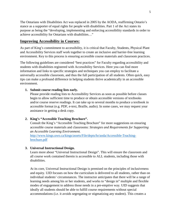The Ontarians with Disabilities Act was replaced in 2005 by the AODA, reaffirming Ontario's stance as a supporter of equal rights for people with disabilities. Part 1 of the Act states its purpose as being the "developing, implementing and enforcing accessibility standards in order to achieve accessibility for Ontarians with disabilities…"

## **Improving Accessibility in Courses:**

As part of King's commitment to accessibility, it is critical that Faculty, Students, Physical Plant and Accessibility Services staff work together to create an inclusive and barrier-free learning environment. Key to this process is ensuring accessible course materials and classroom practices.

The following guidelines are considered "best practices" for Faculty regarding accessibility and students with disabilities registered with Accessibility Services. Here you can find more information and links to specific strategies and techniques you can employ to facilitate a universally accessible classroom, and thus the full participation of all students. Often quick, easy tips can make a profound difference in helping students thrive academically in an accessible environment.

#### **1. Submit course reading lists early.**

Please provide reading lists to Accessibility Services as soon as possible before classes begin to allow sufficient time to produce or obtain accessible versions of textbooks and/or course reserve readings. It can take up to several months to produce a textbook in accessible format (e.g. PDF, e-text, Braille, audio). In some cases, we may request your assistance in getting a desk copy.

#### **2. King's "Accessible Teaching Brochure".**

Consult the King's "Accessible Teaching Brochure" for more suggestions on ensuring accessible course materials and classrooms: *Strategies and Requirements for Supporting an Accessible Learning Environment.*

[http://www.kings.uwo.ca/kings/assets/File/depts/hr/aoda/Accessible-Teaching](http://www.kings.uwo.ca/kings/assets/File/depts/hr/aoda/Accessible-Teaching-brochure.pdf)[brochure.pdf](http://www.kings.uwo.ca/kings/assets/File/depts/hr/aoda/Accessible-Teaching-brochure.pdf)

#### **3. Universal Instructional Design.**

Learn more about "Universal Instructional Design". This will ensure the classroom and all course work contained therein is accessible to ALL students, including those with disabilities.

At its core, Universal Instructional Design is premised on the principles of inclusiveness and equity. UID focuses on how the curriculum is delivered to all students, rather than on individual students' circumstances. The instructor anticipates that there will be a range of learning needs among his or her students, and works to "design in" multiple and flexible modes of engagement to address those needs in a pre-emptive way. UID suggests that ideally all students should be able to fulfill course requirements without special accommodations (i.e. it avoids segregating or stigmatizing any student). This creates a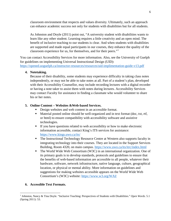classroom environment that respects and values diversity. Ultimately, such an approach can enhance academic success not only for students with disabilities but for all students.

As Johnston and Doyle (2011) point out, "A university student with disabilities wants to learn like any other student. Learning requires a little creativity and an open mind. The benefit of inclusive teaching to our students is clear. And when students with disabilities are supported and made equal participants in our courses, they enhance the quality of the classroom experience for us, for themselves, and for their peers."[1](#page-6-0)

You can contact Accessibility Services for more information. Also, see the University of Guelph for guidelines on implementing Universal Instructional Design (UID): <https://opened.uoguelph.ca/instructor-resources/resources/uid-implimentation-guide-v13.pdf>

#### **4. Notetaking.**

Because of their disability, some students may experience difficulty in taking class notes independently, or may not be able to take notes at all. Part of a student's plan, developed with their Accessibility Counsellor, may include recording lectures with a digital recorder or having a note taker to assist them with notes during lectures. Accessibility Services may contact Faculty for assistance in finding a classmate who would volunteer to share his or her notes.

#### **5. Online Content – Websites &Web-based Services.**

- Design websites and web content in an accessible format.
- Material posted online should be well-organized and in text format (doc, txt, rtf, or html) to ensure compatibility with accessibility software and assistive technologies.
- If you have questions related to web accessibility or how to make electronic information accessible, contact King's ITS services for assistance: <https://www.kings.uwo.ca/its/>
- The Instructional Technology Resource Centre at Western also supports faculty in integrating technology into their courses. They are located in the Support Services Building, Room 4320, on main campus.<https://www.uwo.ca/its/itrc/index.html>
- The World Wide Web Consortium (W3C) in an international organization. One of its primary goals is to develop standards, protocols and guidelines to ensure that the benefits of web-based information are accessible to all people, whatever their hardware, software, network infrastructure, native language, culture, geographical location, or physical or mental ability. More information on guidelines and suggestions for making websites accessible appears on the World Wide Web Consortium's (W3C) website:<https://www.w3.org/WAI/>

#### **6. Accessible Text Formats.**

l

<span id="page-6-0"></span><sup>1</sup> Johnston, Nancy & Tina Doyle. "Inclusive Teaching: Perspectives of Students with Disabilities." *Open Words.* 5.1 (Spring 2011): 53.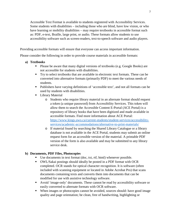Accessible Text Format is available to students registered with Accessibility Services. Some students with disabilities – including those who are blind, have low vision, or who have learning or mobility disabilities – may require textbooks in accessible format such as: PDF, e-text, Braille, large print, or audio. These formats allow students to use accessibility software such as screen-readers, text-to-speech software and audio players.

Providing accessible formats will ensure that everyone can access important information.

Please consider the following in order to provide course materials in accessible formats:

- **a) Textbooks**
	- Please be aware that many digital versions of textbooks (e.g. Google Books) are not accessible for students with disabilities.
	- Try to select textbooks that are available in electronic text formats. These can be converted into alternative formats (primarily PDF) to meet the various needs of students.
	- Publishers have varying definitions of 'accessible text', and not all formats can be used by students with disabilities.
	- **Library Material** 
		- o Students who require library material in an alternate format should request a token (a unique password) from Accessibility Services. This token will allow them to search the Accessible Content E-Portal (ACE Portal) is a repository of library books that have been digitized and made available in accessible formats. Find more information about ACE Portal: [https://www.kings.uwo.ca/current-students/student-services/accessibility](https://www.kings.uwo.ca/current-students/student-services/accessibility-services/academic-accommodations/alternative-to-print-materials/)[services/academic-accommodations/alternative-to-print-materials/](https://www.kings.uwo.ca/current-students/student-services/accessibility-services/academic-accommodations/alternative-to-print-materials/)
		- o If material found by searching the Shared Library Catalogue or a library database is not available in the ACE Portal, students may submit an online request form for an accessible version of the material. A printable PDF version of the form is also available and may be submitted to any library service desk.

#### **b) Documents, PDF Files, Photocopies**

- Use documents in text format (doc, txt, rtf, html) whenever possible.
- OWL/Sakai postings should ideally be posted in a PDF format with OCR completed. OCR stands for optical character recognition. It is software (often included with scanning equipment or located in Adobe Acrobat Pro) that scans documents containing texts and converts them into documents that can be modified for use with assistive technology software.
- Avoid 'image-only' documents. These cannot be read by accessibility software or easily converted to alternate formats with OCR software.
- When images or photocopies cannot be avoided, sources should: have good image quality and page orientation; be clean, free of handwriting, highlighting or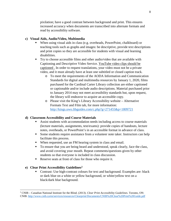pixilation; have a good contrast between background and print. This ensures increased accuracy when documents are transcribed into alternate formats and read by accessibility software.

### **c) Visual Aids, Audio/Video, Multimedia**

- When using visual aids in class (e.g. overheads, PowerPoint, chalkboard) or teaching tools such as graphs and images: be descriptive, provide text descriptions and print copies so they are accessible for students with visual and learning disabilities.
- Try to choose accessible films and other audio/video that are available with Captioning and Descriptive Video Service. YouTube video clips should be captioned . In order to request translations, your video must not be a private video, and it must already have at least one subtitled or closed caption track.
	- o To meet the requirements of the AODA Information and Communication Standards for digital and multimedia resources by January 1, 2020, films purchased for the Cardinal Carter Library collection are either captioned or captionable and/or include audio descriptions. Material purchased prior to January 2014 may not meet accessibility standards but, upon request, the library will endeavor to acquire an accessible copy.
	- o Please visit the King's Library Accessibility website Alternative Formats Text and Film tab, for more information: <http://kings.uwo.libguides.com/c.php?g=271455&p=1809721>

#### **d) Classroom Accessibility and Course Materials**

- Assist students with accommodation needs including access to course materials (lecture materials, assignments, test/exams): provide copies of handouts, lecture notes, overheads, or PowerPoint's in an accessible format in advance of class.
- Some students require assistance from a volunteer note taker. Instructors can help facilitate this process.
- When requested, use an FM hearing system in class and email.
- To ensure that you are being heard and understood, speak clearly, face the class, and avoid covering your mouth. Repeat comments/questions given by other students so that everyone is included in class discussion.
- Reserve seats at front of class for those who require it.

## **e) Clear Print Accessibility Guidelines[2](#page-8-0)**

l

 Contrast: Use high-contrast colours for text and background. Examples are: black or dark blue on a white or yellow background, or white/yellow text on a black/dark blue background.

<span id="page-8-0"></span><sup>2</sup> CNIB – Canadian National Institute for the Blind. (2013). *Clear Print Accessibility Guidelines.* Toronto, ON: CNIB.<http://www.cnib.ca/en/services/resources/Clearprint/Documents/CNIB%20Clear%20Print%20Guide.pdf>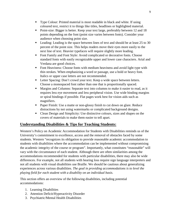- Type Colour: Printed material is most readable in black and white. If using coloured text, restrict it to things like titles, headlines or highlighted material.
- Point-size: Bigger is better. Keep your text large, preferably between 12 and 18 points depending on the font (point size varies between fonts). Consider your audience when choosing point size.
- Leading: Leading is the space between lines of text and should be at least 25 to 30 percent of the point size. This helps readers move their eyes more easily to the next line of text. Heavier typefaces will require slightly more leading.
- Font Family and Font Style: Avoid complicated or decorative fonts. Choose standard fonts with easily recognizable upper and lower case characters. Arial and Verdana are good choices.
- Font Heaviness: Choose fonts with medium heaviness and avoid light type with thin strokes. When emphasizing a word or passage, use a bold or heavy font. Italics or upper case letters are not recommended.
- Letter Spacing: Don't crowd your text. Keep a wide space between letters. Choose a monospaced font rather than one that is proportionally spaced.
- **Margins and Columns: Separate text into columns to make it easier to read, as it** requires less eye movement and less peripheral vision. Use wide binding margins or spiral bindings if possible. Flat pages work best for vision aids such as magnifiers.
- **Paper Finish:** Use a matte or non-glossy finish to cut down on glare. Reduce distractions by not using watermarks or complicated background designs.
- Clean Design and Simplicity: Use distinctive colours, sizes and shapes on the covers of materials to make them easier to tell apart.

# **Understanding Disabilities & Tips for Teaching Students:**

Western's Policy on Academic Accommodation for Students with Disabilities reminds us of the University's commitment to excellence, access and the removal of obstacles faced by some students. Western "recognizes its obligation to provide reasonable academic accommodation to students with disabilities where the accommodation can be implemented without compromising the academic integrity of the course or program". Importantly, what constitutes "reasonable" will vary with the circumstance of each student. Although there are often similarities among the accommodations recommended for students with particular disabilities, there may also be wide differences. For example, not all students with hearing loss require sign language interpreters and not all students with visual disabilities use Braille. We should be cautious about generalizing experiences across various disabilities. *The goal in providing accommodations is to level the playing field for each student with a disability on an individual basis.*

This section offers an overview of the following disabilities, including potential accommodations:

- 1. Learning Disabilities
- 2. Attention Deficit/Hyperactivity Disorder
- 3. Psychiatric/Mental Health Disabilities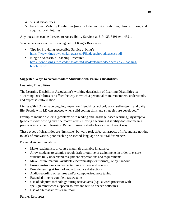- 4. Visual Disabilities
- 5. Functional/Mobility Disabilities (may include mobility disabilities, chronic illness, and acquired brain injuries)

Any questions can be directed to Accessibility Services at 519-433-3491 ext. 4321.

You can also access the following helpful King's Resources:

- **Tips for Providing Accessible Service at King's** <https://www.kings.uwo.ca/kings/assets/File/depts/hr/aoda/access.pdf>
- King's "Accessible Teaching Brochure" [https://www.kings.uwo.ca/kings/assets/File/depts/hr/aoda/Accessible-Teaching](https://www.kings.uwo.ca/kings/assets/File/depts/hr/aoda/Accessible-Teaching-brochure.pdf)[brochure.pdf](https://www.kings.uwo.ca/kings/assets/File/depts/hr/aoda/Accessible-Teaching-brochure.pdf)

## **Suggested Ways to Accommodate Students with Various Disabilities:**

## **Learning Disabilities**

The Learning Disabilities Association's working description of Learning Disabilities is: "Learning Disabilities can affect the way in which a person takes in, remembers, understands, and expresses information.

Living with LD can have ongoing impact on friendships, school, work, self-esteem, and daily life. People with LD can succeed when solid coping skills and strategies are developed."

Examples include dyslexia (problems with reading and language-based learning); dysgraphia (problems with writing and fine motor skills). Having a learning disability does not mean a person is incapable of learning. Rather, it means she/he learns in a different way.

These types of disabilities are "invisible" but very real, affect all aspects of life, and are not due to lack of motivation, poor teaching or second-language or cultural differences.

Potential Accommodations:

- Make reading lists or course materials available in advance
- Allow students to submit a rough draft or outline of assignments in order to ensure students fully understand assignment expectations and requirements
- Make lecture material available electronically (text format), or by handout
- Ensure instructions and expectations are clear and concise
- Provide seating at front of room to reduce distractions
- Audio recording of lectures and/or computerized note taking
- Extended time to complete tests/exams
- Use of adaptive technology during tests/exams (e.g., a word processor with spell/grammar check, speech-to-text and text-to-speech software)
- Use of alternative test/exam room

Further Resources: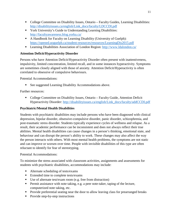- College Committee on Disability Issues, Ontario Faculty Guides, Learning Disabilities: [http://disabilityissues.ca/english/Link\\_docs/faculty/LDCCDI.pdf](http://disabilityissues.ca/english/Link_docs/faculty/LDCCDI.pdf)
- **The Vork University's Guide to Understanding Learning Disabilities:** <http://facultyawareness.blog.yorku.ca/>
- A Handbook for Faculty on Learning Disability (University of Guelph): <https://opened.uoguelph.ca/student-resources/resources/LearningDis2015.pdf>
- Learning Disabilities Association of London Region:<http://www.ldalondon.ca/>

## **Attention Deficit/Hyperactivity Disorder**

Persons who have Attention Deficit/Hyperactivity Disorder often present with inattentiveness, impulsivity, limited concentration, limited recall, and in some instances hyperactivity. Symptoms are sometimes closely aligned with those of anxiety. Attention Deficit/Hyperactivity is often correlated to obsessive of compulsive behaviours.

Potential Accommodations:

■ See suggested Learning Disability Accommodations above.

Further resources:

 College Committee on Disability Issues, Ontario – Faculty Guide, Attention Deficit Hyperactivity Disorder: [http://disabilityissues.ca/english/Link\\_docs/faculty/addCCDI.pdf](http://disabilityissues.ca/english/Link_docs/faculty/addCCDI.pdf)

## **Psychiatric/Mental Health Disabilities**

Students with psychiatric disabilities may include persons who have been diagnosed with clinical depression, bipolar disorder, obsessive-compulsive disorder, panic disorder, schizophrenia, and post-traumatic stress disorder. Students typically experience cycles of wellness and relapse. As a result, their academic performance can be inconsistent and does not always reflect their true abilities. Mental health disabilities can cause changes in a person's thinking, emotional state, and behaviour and can disrupt the person's ability to work. These changes may also affect the way the person interacts with others. With most mental health problems, the symptoms are not static and can improve or worsen over time. People with invisible disabilities of this type are often reluctant to identify for fear of stereotyping.

#### Potential Accommodations:

To minimize the stress associated with classroom activities, assignments and assessments for students with psychiatric disabilities, accommodations may include:

- Alternate scheduling of tests/exams
- Extended time to complete tests/exams
- Use of alternate test/exam room (e.g. free from distraction)
- **Permit assistance with note taking, e.g. a peer note-taker, taping of the lecture,** computerized note taking, etc.
- Provide preferential seating near the door to allow leaving class for prearranged breaks
- Provide step-by-step instructions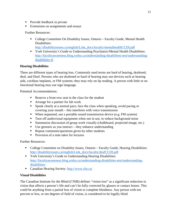- Provide feedback in private
- Extensions on assignments and essays

Further Resources:

- College Committee On Disability Issues, Ontario Faculty Guide, Mental Health Disabilities:
- [http://disabilityissues.ca/english/Link\\_docs/faculty/mentalhealthCCDI.pdf](http://disabilityissues.ca/english/Link_docs/faculty/mentalhealthCCDI.pdf) York University's Guide to Understanding Psychiatric/Mental Health Disabilities:
- [http://facultyawareness.blog.yorku.ca/understanding-disabilities-test/understanding](http://facultyawareness.blog.yorku.ca/understanding-disabilities-test/understanding-disabilities-4/)[disabilities-4/](http://facultyawareness.blog.yorku.ca/understanding-disabilities-test/understanding-disabilities-4/)

#### **Hearing Disabilities**

There are different types of hearing loss. Commonly used terms are hard of hearing, deafened, deaf, and Deaf. Persons who are deafened or hard of hearing may use devices such as hearing aids, cochlear implants, or FM systems; they may rely on lip reading. A person with little or no functional hearing may use sign language.

Potential Accommodations:

- Reserve a front-row seat in the class for the student
- Arrange for a partner for lab work
- Speak clearly at a normal pace, face the class when speaking, avoid pacing or covering your mouth – this interferes with voice transmission
- When requested, use a portable sound transmission device (e.g. FM system)
- **Turn off audiovisual equipment when not in use, to reduce background noise**
- Summarize discussion of group work visually (chalkboard, projected image, etc.)
- $\blacksquare$  Use gestures as you instruct they enhance understanding
- Repeat comments/questions given by other students
- **Provision of a note taker for lectures**

Further Resources:

- College Committee on Disability Issues, Ontario Faculty Guide, Hearing Disabilities: [http://disabilityissues.ca/english/Link\\_docs/faculty/deafCCDI.pdf](http://disabilityissues.ca/english/Link_docs/faculty/deafCCDI.pdf)
- **The Vork University's Guide to Understanding Hearing Disabilities:** [http://facultyawareness.blog.yorku.ca/understanding-disabilities-test/understanding](http://facultyawareness.blog.yorku.ca/understanding-disabilities-test/understanding-disabilities/)[disabilities/](http://facultyawareness.blog.yorku.ca/understanding-disabilities-test/understanding-disabilities/)
- Canadian Hearing Society:<http://www.chs.ca/>

#### **Visual Disabilities**

The Canadian Institute for the Blind (CNIB) defines "vision loss" as a significant reduction in vision that affects a person's life and can't be fully corrected by glasses or contact lenses. This could be anything from a partial loss of vision to complete blindness. Any person with ten percent or less, or ten degrees of field of vision, is considered to be legally blind.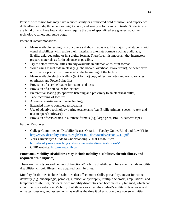Persons with vision loss may have reduced acuity or a restricted field of vision, and experience difficulties with depth perception, night vision, and seeing colours and contrasts. Students who are blind or who have low vision may require the use of specialized eye glasses, adaptive technology, canes, and guide dogs.

Potential Accommodations:

- Make available reading lists or course syllabus in advance. The majority of students with visual disabilities will require their material in alternate formats such as audiotape, Braille, enlarged print, or in a digital format. Therefore, it is important that instructors prepare materials as far in advance as possible.
- Try to select textbook titles already available in alternative-to-print format
- When using visual aids in class (e.g. chalkboard, overhead, PowerPoint), be descriptive or provide a print copy of material at the beginning of the lecture
- Make available electronically a (text format) copy of lecture notes and transparencies, overheads and PowerPoint files
- **Provision of a scribe/reader for exams and tests**
- Provision of a note taker for lectures
- **Preferential seating (to optimize listening and proximity to an electrical outlet)**
- Tape recording of lectures
- Access to assistive/adaptive technology
- **Extended time to complete tests/exams**
- Use of adaptive technology during tests/exams (e.g. Braille printers, speech-to-text and text-to-speech software)
- **Provision of tests/exams in alternate formats (e.g. large print, Braille, cassette tape)**

Further Resources:

- College Committee on Disability Issues, Ontario Faculty Guide, Blind and Low Vision: [http://www.disabilityissues.ca/english/Link\\_docs/faculty/visionCCDI.pdf](http://www.disabilityissues.ca/english/Link_docs/faculty/visionCCDI.pdf)
- York University's Guide to Understanding Visual Disabilities: <http://facultyawareness.blog.yorku.ca/understanding-disabilities-5/>
- CNIB website: [http://www.cnib.ca](http://www.cnib.ca/)

## **Functional/Mobility Disabilities (May include mobility disabilities, chronic illness, and acquired brain injuries)**

There are many types and degrees of functional/mobility disabilities. These may include mobility disabilities, chronic illness, and acquired brain injuries.

Mobility disabilities include disabilities that affect motor skills, portability, and/or functional dexterity (e.g. quadriplegia, paraplegia, muscular dystrophy, multiple sclerosis, amputations, and temporary disabilities). Students with mobility disabilities can become easily fatigued, which can affect their concentration. Mobility disabilities can affect the student's ability to take notes and write tests, essays, and assignments, as well as the time it takes to complete course activities.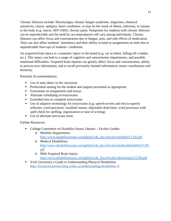Chronic illnesses include: fibromyalgia, chronic fatigue syndrome, migraines, chemical sensitivity, cancer, epilepsy, heart conditions, or may be the result of illness, infection, or trauma to the body (e.g. cancer, HIV/AIDS, chronic pain). Symptoms for students with chronic illnesses can be unpredictable and the need for accommodation will vary among individuals. Chronic illnesses can affect focus and concentration due to fatigue, pain, and side effects of medication. They can also affect students' attendance and their ability to hand in assignments on time due to unpredictable flare-ups of students' conditions.

An acquired brain injury is a traumatic injury to the heard (e.g. car accident, falling off a ladder, etc.). This injury can lead to a range of cognitive and sensorimotor impairments, and possible emotional difficulties. Acquired brain injuries can greatly affect: focus and concentration; ability to process new information, and to recall previously learned information; motor coordination and dexterity.

Potential Accommodations:

- Use of note takers in the classroom
- Preferential seating for the student and support personnel as appropriate
- Extensions on assignments and essays
- Alternate scheduling of tests/exams
- Extended time to complete tests/exams
- Use of adaptive technology for tests/exams (e.g. speech-to-text and text-to-speech software, word processor, trackball mouse, adjustable desk/chair, word processor with spell check for spelling, organization or ease of writing)
- Use of alternate test/exam room

Further Resources:

- College Committee on Disability Issues, Ontario Faculty Guides:
	- o Mobility Impairments: [http://www.disabilityissues.ca/english/Link\\_docs/faculty/mobilityCCDI.pdf](http://www.disabilityissues.ca/english/Link_docs/faculty/mobilityCCDI.pdf)
	- o Medical Disabilities: [http://www.disabilityissues.ca/english/Link\\_docs/faculty/medicaldisabilityCCDI.](http://www.disabilityissues.ca/english/Link_docs/faculty/medicaldisabilityCCDI.pdf) [pdf](http://www.disabilityissues.ca/english/Link_docs/faculty/medicaldisabilityCCDI.pdf)
	- o Mild Acquired Brain Injury:

[http://www.disabilityissues.ca/english/Link\\_docs/faculty/abraininjuryCCDI.pdf](http://www.disabilityissues.ca/english/Link_docs/faculty/abraininjuryCCDI.pdf)

 York University's Guide to Understanding Physical Disabilities: <http://facultyawareness.blog.yorku.ca/understanding-disabilities-3/>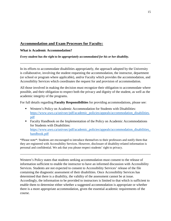# **Accommodation and Exam Processes for Faculty:**

**What is Academic Accommodation?**

*Every student has the right to be appropriately accommodated for his or her disability.*

In its efforts to accommodate disabilities appropriately, the approach adopted by the University is collaborative, involving the student requesting the accommodation, the instructor, department (or school or program where applicable), and/or Faculty which provides the accommodation, and Accessibility Services which coordinates the request for and provision of accommodation.

All those involved in making the decision must recognize their obligation to accommodate where possible, and their obligation to respect both the privacy and dignity of the student, as well as the academic integrity of the programs.

For full details regarding **Faculty Responsibilities** for providing accommodations, please see:

- Western's Policy on Academic Accommodation for Students with Disabilities: [https://www.uwo.ca/univsec/pdf/academic\\_policies/appeals/accommodation\\_disabilities.](https://www.uwo.ca/univsec/pdf/academic_policies/appeals/accommodation_disabilities.pdf) [pdf](https://www.uwo.ca/univsec/pdf/academic_policies/appeals/accommodation_disabilities.pdf)
- Faculty Handbook on the Implementation of the Policy on Academic Accommodations for Students with Disabilities: [https://www.uwo.ca/univsec/pdf/academic\\_policies/appeals/accommodation\\_disabilities\\_](https://www.uwo.ca/univsec/pdf/academic_policies/appeals/accommodation_disabilities_handbook.pdf) [handbook.pdf](https://www.uwo.ca/univsec/pdf/academic_policies/appeals/accommodation_disabilities_handbook.pdf)

\*Please note\*: Students are encouraged to introduce themselves to their professors and notify them that they are registered with Accessibility Services. However, disclosure of disability-related information is personal and confidential. We ask that you please respect students' right to privacy.

Western's Policy states that students seeking accommodation must consent to the release of information sufficient to enable the instructor to have an informed discussion with Accessibility Services. Students are not expected to consent to Accessibility Services' release of the file containing the diagnostic assessment of their disabilities. Once Accessibility Services has determined that there is a disability, the validity of the assessment cannot be at issue. Accordingly, the information to be provided to instructors is limited to that which is sufficient to enable them to determine either whether a suggested accommodation is appropriate or whether there is a more appropriate accommodation, given the essential academic requirements of the course.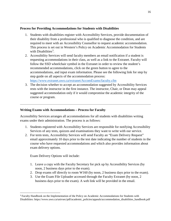#### **Process for Providing Accommodations for Students with Disabilities**

- 1. Students with disabilities register with Accessibility Services, provide documentation of their disability from a professional who is qualified to diagnose the condition, and are required to meet with an Accessibility Counsellor to request academic accommodation. This process is set out in Western's Policy on Academic Accommodation for Students with Disabilities<sup>[3](#page-16-0)</sup>.
- 2. Accessibility Services will send faculty members an email notification if a student is requesting accommodations in their class, as well as a link to the Extranet. Faculty will follow the SSD wheelchair symbol in the Extranet in order to review the student's recommended accommodations, click on the green button to agree to the accommodations, and input exam information. Please see the following link for step by step guide on all aspects of the accommodation process: <https://www.extranet.uwo.ca/extranet/AccomExams/faculty.cfm>
- 3. The decision whether to accept an accommodation suggested by Accessibility Services rests with the instructor in the first instance. The instructor, Chair, or Dean may appeal suggested accommodation only if it would compromise the academic integrity of the course or program.

### **Writing Exams with Accommodations – Process for Faculty**

Accessibility Services arranges all accommodations for all students with disabilities writing exams under their administration. The process is as follows:

- 1. Students registered with Accessibility Services are responsible for notifying Accessibility Services of any tests, quizzes and examinations they want to write with our service.
- 2. For term tests, Accessibility Services will send Faculty an "Exam Delivery Request" email approximately 10 days prior to the test date indicating the number of students in the course who have requested accommodations and which also provides information about exam delivery options.

Exam Delivery Options will include:

- 1. Leave a copy with the Faculty Secretary for pick up by Accessibility Services (by noon, 2 business days prior to the exam).
- 2. Drop exams off directly to room W160 (by noon, 2 business days prior to the exam).
- 3. Use the Exam File Uploader accessed through the Faculty Extranet (by noon, 2 business days prior to the exam). A web link will be provided in the email.

<span id="page-16-0"></span><sup>&</sup>lt;sup>3</sup> Faculty Handbook on the Implementation of the Policy on Academic Accommodations for Students with Disabilities: https://www.uwo.ca/univsec/pdf/academic\_policies/appeals/accommodation\_disabilities\_handbook.pdf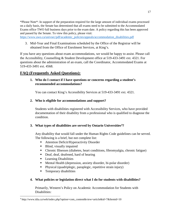\*Please Note\*: In support of the preparation required for the large amount of individual exams processed on a daily basis, the Senate has determined that all exams need to be submitted to the Accommodated Exams office TWO full business days prior to the exam date. A policy regarding this has been approved and passed by the Senate. To view this policy, please visit:

[https://www.uwo.ca/univsec/pdf/academic\\_policies/appeals/accommodation\\_disabilities.pdf](https://www.uwo.ca/univsec/pdf/academic_policies/appeals/accommodation_disabilities.pdf)

3. Mid-Year and Final Examinations scheduled by the Office of the Registrar will be obtained from the Office of Enrolment Services, at King's.

If you have any questions about exam accommodations, we would be happy to assist. Please call the Accessibility, Counselling & Student Development office at 519-433-3491 ext. 4321. For questions about the administration of an exam, call the Coordinator, Accommodated Exams at 519-433-3491 ext. 4568.

# **FAQ (Frequently Asked Questions):**

**1. Who do I contact if I have questions or concerns regarding a student's recommended accommodations?**

You can contact King's Accessibility Services at 519-433-3491 ext. 4321.

## **2. Who is eligible for accommodations and support?**

Students with disabilities registered with Accessibility Services, who have provided documentation of their disability from a professional who is qualified to diagnose the condition.

## **3. What types of disabilities are served by Ontario Universities[4?](#page-17-0)**

Any disability that would fall under the Human Rights Code guidelines can be served. The following is a brief, but not complete list:

- Attention Deficit/Hyperactivity Disorder
- Blind, visually impaired
- Chronic Illnesses (diabetes, heart conditions, fibromyalgia, chronic fatigue)
- Deaf, deaf, deafened, hard of hearing
- **Learning Disabilities**
- Mental Health (depression, anxiety disorder, bi-polar disorder)
- Physical (quadriplegic, paraplegic, repetitive strain injury)
- **Temporary disabilities**

l

## **4. What policies or legislation direct what I do for students with disabilities?**

Primarily, Western's Policy on Academic Accommodation for Students with Disabilities:

<span id="page-17-0"></span><sup>4</sup> http://www.idia.ca/web/index.php?option=com\_content&view=article&id=7&Itemid=10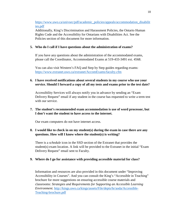[https://www.uwo.ca/univsec/pdf/academic\\_policies/appeals/accommodation\\_disabilit](https://www.uwo.ca/univsec/pdf/academic_policies/appeals/accommodation_disabilities.pdf) [ies.pdf](https://www.uwo.ca/univsec/pdf/academic_policies/appeals/accommodation_disabilities.pdf)

Additionally, King's Discrimination and Harassment Policies, the Ontario Human Rights Code and the Accessibility for Ontarians with Disabilities Act. See the Policies section of this document for more information.

### **5. Who do I call if I have questions about the administration of exams?**

If you have any questions about the administration of the accommodated exams, please call the Coordinator, Accommodated Exams at 519-433-3491 ext. 4568.

You can also visit Western's FAQ and Step by Step guides regarding exams: <https://www.extranet.uwo.ca/extranet/AccomExams/faculty.cfm>

## **6. I have received notifications about several students in my course who use your service. Should I forward a copy of all my tests and exams prior to the test date?**

Accessibility Services will always notify you in advance by sending an "Exam Delivery Request" email if any student in the course has requested to write a term test with our service.

## **7. The student's recommended exam accommodation is use of word processor, but I don't want the student to have access to the internet.**

Our exam computers do not have internet access.

## **8. I would like to check in on my student(s) during the exam in case there are any questions. How will I know where the student(s) is writing?**

There is a *schedule* icon in the SSD section of the Extranet that provides the student(s) exam location. A link will be provided to the Extranet in the initial "Exam Delivery Request" email sent to Faculty.

#### **9. Where do I go for assistance with providing accessible material for class?**

Information and resources are also provided in this document under "Improving Accessibility in Courses". And you can consult the King's "Accessible in Teaching" brochure for more suggestions on ensuring accessible course materials and classrooms: *Strategies and Requirements for Supporting an Accessible Learning Environment.* [http://kings.uwo.ca/kings/assets/File/depts/hr/aoda/Accessible-](http://kings.uwo.ca/kings/assets/File/depts/hr/aoda/Accessible-Teaching-brochure.pdf)[Teaching-brochure.pdf](http://kings.uwo.ca/kings/assets/File/depts/hr/aoda/Accessible-Teaching-brochure.pdf)